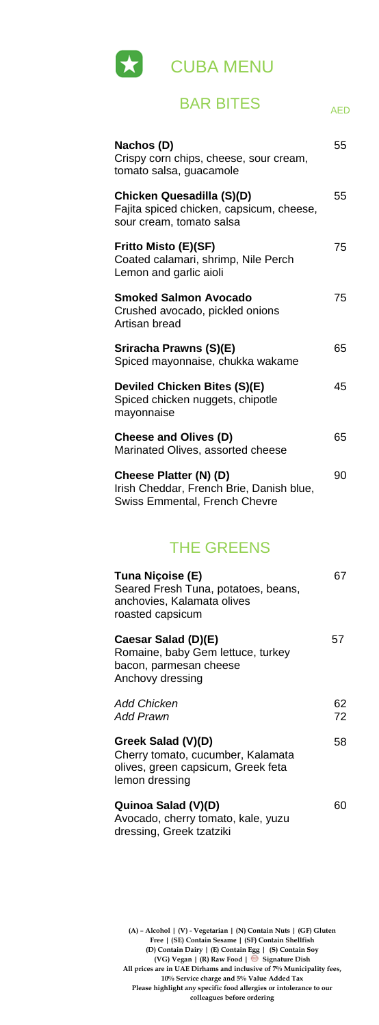**(A) – Alcohol | (V) - Vegetarian | (N) Contain Nuts | (GF) Gluten Free | (SE) Contain Sesame | (SF) Contain Shellfish (D) Contain Dairy | (E) Contain Egg | (S) Contain Soy (VG) Vegan | (R) Raw Food | Signature Dish All prices are in UAE Dirhams and inclusive of 7% Municipality fees, 10% Service charge and 5% Value Added Tax Please highlight any specific food allergies or intolerance to our colleagues before ordering**



# BAR BITES AED

| Nachos (D)<br>Crispy corn chips, cheese, sour cream,<br>tomato salsa, guacamole                            | 55 |
|------------------------------------------------------------------------------------------------------------|----|
| Chicken Quesadilla (S)(D)<br>Fajita spiced chicken, capsicum, cheese,<br>sour cream, tomato salsa          | 55 |
| Fritto Misto (E)(SF)<br>Coated calamari, shrimp, Nile Perch<br>Lemon and garlic aioli                      | 75 |
| <b>Smoked Salmon Avocado</b><br>Crushed avocado, pickled onions<br>Artisan bread                           | 75 |
| Sriracha Prawns (S)(E)<br>Spiced mayonnaise, chukka wakame                                                 | 65 |
| Deviled Chicken Bites (S)(E)<br>Spiced chicken nuggets, chipotle<br>mayonnaise                             | 45 |
| <b>Cheese and Olives (D)</b><br>Marinated Olives, assorted cheese                                          | 65 |
| Cheese Platter (N) (D)<br>Irish Cheddar, French Brie, Danish blue,<br><b>Swiss Emmental, French Chevre</b> | 90 |

#### THE GREENS

| Tuna Niçoise (E)<br>Seared Fresh Tuna, potatoes, beans,<br>anchovies, Kalamata olives<br>roasted capsicum |          |
|-----------------------------------------------------------------------------------------------------------|----------|
| Caesar Salad (D)(E)<br>Romaine, baby Gem lettuce, turkey<br>bacon, parmesan cheese<br>Anchovy dressing    | 57       |
| <b>Add Chicken</b><br><b>Add Prawn</b>                                                                    | 62<br>72 |
| Greek Salad (V)(D)<br>Cherry tomato, cucumber, Kalamata<br>olives, green capsicum, Greek feta             | 58       |

lemon dressing

#### **Quinoa Salad (V)(D)**

Avocado, cherry tomato, kale, yuzu dressing, Greek tzatziki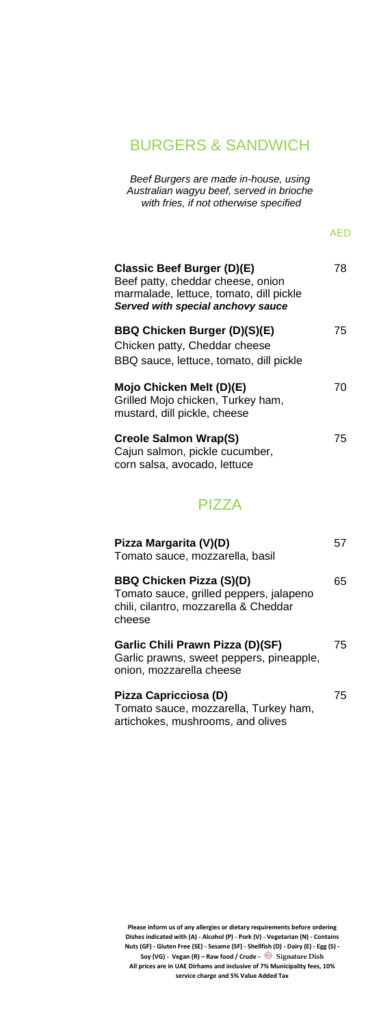**Please inform us of any allergies or dietary requirements before ordering Dishes indicated with (A) - Alcohol (P) - Pork (V) - Vegetarian (N) - Contains Nuts (GF) - Gluten Free (SE) - Sesame (SF) - Shellfish (D) - Dairy (E) - Egg (S) - Soy (VG) - Vegan (R) – Raw food / Crude - Signature Dish All prices are in UAE Dirhams and inclusive of 7% Municipality fees, 10% service charge and 5% Value Added Tax**

#### BURGERS & SANDWICH

*Beef Burgers are made in-house, using Australian wagyu beef, served in brioche with fries, if not otherwise specified*

AED

| Classic Beef Burger (D)(E)<br>Beef patty, cheddar cheese, onion<br>marmalade, lettuce, tomato, dill pickle<br>Served with special anchovy sauce | 78 |
|-------------------------------------------------------------------------------------------------------------------------------------------------|----|
| BBQ Chicken Burger (D)(S)(E)<br>Chicken patty, Cheddar cheese<br>BBQ sauce, lettuce, tomato, dill pickle                                        | 75 |
| Mojo Chicken Melt (D)(E)<br>Grilled Mojo chicken, Turkey ham,<br>mustard, dill pickle, cheese                                                   | 70 |
| <b>Creole Salmon Wrap(S)</b><br>Cajun salmon, pickle cucumber,<br>corn salsa, avocado, lettuce                                                  | 75 |

PIZZA

| Pizza Margarita (V)(D)<br>Tomato sauce, mozzarella, basil                                                                     |    |
|-------------------------------------------------------------------------------------------------------------------------------|----|
| <b>BBQ Chicken Pizza (S)(D)</b><br>Tomato sauce, grilled peppers, jalapeno<br>chili, cilantro, mozzarella & Cheddar<br>cheese | 65 |
| Garlic Chili Prawn Pizza (D)(SF)<br>Garlic prawns, sweet peppers, pineapple,<br>onion, mozzarella cheese                      | 75 |
| Pizza Capricciosa (D)<br>Tomato sauce, mozzarella, Turkey ham,<br>artichokes, mushrooms, and olives                           | 75 |